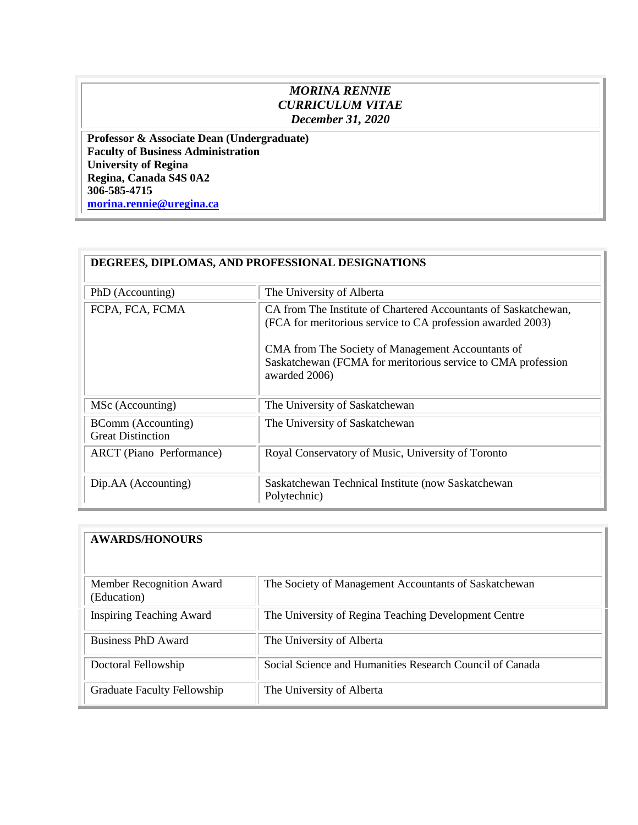## *MORINA RENNIE CURRICULUM VITAE December 31, 2020*

**Professor & Associate Dean (Undergraduate) Faculty of Business Administration University of Regina Regina, Canada S4S 0A2 306-585-4715 [morina.rennie@uregina.ca](mailto:morina.rennie@uregina.ca)**

| DEGREES, DIPLOMAS, AND PROFESSIONAL DESIGNATIONS      |                                                                                                                                    |  |
|-------------------------------------------------------|------------------------------------------------------------------------------------------------------------------------------------|--|
| PhD (Accounting)                                      | The University of Alberta                                                                                                          |  |
| FCPA, FCA, FCMA                                       | CA from The Institute of Chartered Accountants of Saskatchewan,<br>(FCA for meritorious service to CA profession awarded 2003)     |  |
|                                                       | CMA from The Society of Management Accountants of<br>Saskatchewan (FCMA for meritorious service to CMA profession<br>awarded 2006) |  |
| MSc (Accounting)                                      | The University of Saskatchewan                                                                                                     |  |
| <b>BComm</b> (Accounting)<br><b>Great Distinction</b> | The University of Saskatchewan                                                                                                     |  |
| <b>ARCT</b> (Piano Performance)                       | Royal Conservatory of Music, University of Toronto                                                                                 |  |
| Dip.AA (Accounting)                                   | Saskatchewan Technical Institute (now Saskatchewan<br>Polytechnic)                                                                 |  |

| <b>AWARDS/HONOURS</b>                   |                                                          |
|-----------------------------------------|----------------------------------------------------------|
| Member Recognition Award<br>(Education) | The Society of Management Accountants of Saskatchewan    |
| <b>Inspiring Teaching Award</b>         | The University of Regina Teaching Development Centre     |
| Business PhD Award                      | The University of Alberta                                |
| Doctoral Fellowship                     | Social Science and Humanities Research Council of Canada |
| <b>Graduate Faculty Fellowship</b>      | The University of Alberta                                |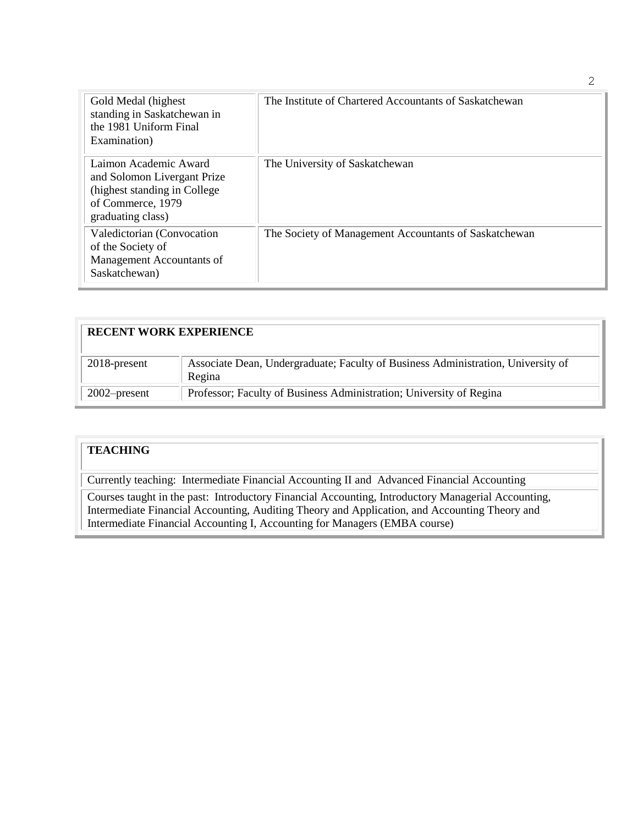| Gold Medal (highest)<br>standing in Saskatchewan in<br>the 1981 Uniform Final<br>Examination)                                   | The Institute of Chartered Accountants of Saskatchewan |
|---------------------------------------------------------------------------------------------------------------------------------|--------------------------------------------------------|
| Laimon Academic Award<br>and Solomon Livergant Prize<br>(highest standing in College)<br>of Commerce, 1979<br>graduating class) | The University of Saskatchewan                         |
| Valedictorian (Convocation<br>of the Society of<br>Management Accountants of<br>Saskatchewan)                                   | The Society of Management Accountants of Saskatchewan  |

| <b>RECENT WORK EXPERIENCE</b> |                                                                                            |
|-------------------------------|--------------------------------------------------------------------------------------------|
| 2018-present                  | Associate Dean, Undergraduate; Faculty of Business Administration, University of<br>Regina |
| $2002$ -present               | Professor; Faculty of Business Administration; University of Regina                        |

## **TEACHING**

Currently teaching: Intermediate Financial Accounting II and Advanced Financial Accounting

Courses taught in the past: Introductory Financial Accounting, Introductory Managerial Accounting, Intermediate Financial Accounting, Auditing Theory and Application, and Accounting Theory and Intermediate Financial Accounting I, Accounting for Managers (EMBA course)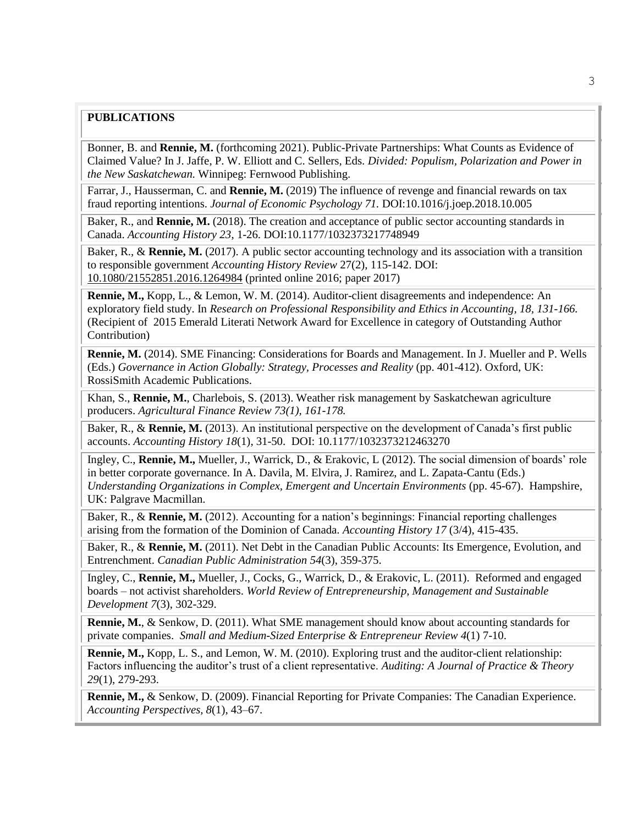## **PUBLICATIONS**

Bonner, B. and **Rennie, M.** (forthcoming 2021). Public-Private Partnerships: What Counts as Evidence of Claimed Value? In J. Jaffe, P. W. Elliott and C. Sellers, Eds. *Divided: Populism, Polarization and Power in the New Saskatchewan.* Winnipeg: Fernwood Publishing.

Farrar, J., Hausserman, C. and **Rennie, M.** (2019) The influence of revenge and financial rewards on tax fraud reporting intentions. *Journal of Economic Psychology 71.* DOI:10.1016/j.joep.2018.10.005

Baker, R., and **Rennie, M.** (2018). The creation and acceptance of public sector accounting standards in Canada. *Accounting History 23*, 1-26. DOI:10.1177/1032373217748949

Baker, R., & **Rennie, M.** (2017). A public sector accounting technology and its association with a transition to responsible government *Accounting History Review* 27(2), 115-142. DOI: 10.1080/21552851.2016.1264984 (printed online 2016; paper 2017)

**Rennie, M.,** Kopp, L., & Lemon, W. M. (2014). Auditor-client disagreements and independence: An exploratory field study. In *Research on Professional Responsibility and Ethics in Accounting, 18, 131-166.* (Recipient of 2015 Emerald Literati Network Award for Excellence in category of Outstanding Author Contribution)

**Rennie, M.** (2014). SME Financing: Considerations for Boards and Management. In J. Mueller and P. Wells (Eds.) *Governance in Action Globally: Strategy, Processes and Reality* (pp. 401-412). Oxford, UK: RossiSmith Academic Publications.

Khan, S., **Rennie, M.**, Charlebois, S. (2013). Weather risk management by Saskatchewan agriculture producers. *Agricultural Finance Review 73(1), 161-178.*

Baker, R., & **Rennie, M.** (2013). An institutional perspective on the development of Canada's first public accounts. *Accounting History 18*(1), 31-50. DOI: 10.1177/1032373212463270

Ingley, C., **Rennie, M.,** Mueller, J., Warrick, D., & Erakovic, L (2012). The social dimension of boards' role in better corporate governance. In A. Davila, M. Elvira, J. Ramirez, and L. Zapata-Cantu (Eds.) *Understanding Organizations in Complex, Emergent and Uncertain Environments* (pp. 45-67). Hampshire, UK: Palgrave Macmillan.

Baker, R., & **Rennie, M.** (2012). Accounting for a nation's beginnings: Financial reporting challenges arising from the formation of the Dominion of Canada. *Accounting History 17* (3/4), 415-435.

Baker, R., & **Rennie, M.** (2011). Net Debt in the Canadian Public Accounts: Its Emergence, Evolution, and Entrenchment. *Canadian Public Administration 54*(3), 359-375.

Ingley, C., **Rennie, M.,** Mueller, J., Cocks, G., Warrick, D., & Erakovic, L. (2011). Reformed and engaged boards – not activist shareholders. *World Review of Entrepreneurship, Management and Sustainable Development 7*(3), 302-329.

**Rennie, M.**, & Senkow, D. (2011). What SME management should know about accounting standards for private companies. *Small and Medium-Sized Enterprise & Entrepreneur Review 4*(1) 7-10.

**Rennie, M.,** Kopp, L. S., and Lemon, W. M. (2010). Exploring trust and the auditor-client relationship: Factors influencing the auditor's trust of a client representative. *Auditing: A Journal of Practice & Theory 29*(1), 279-293.

**Rennie, M.,** & Senkow, D. (2009). Financial Reporting for Private Companies: The Canadian Experience. *Accounting Perspectives, 8*(1), 43–67.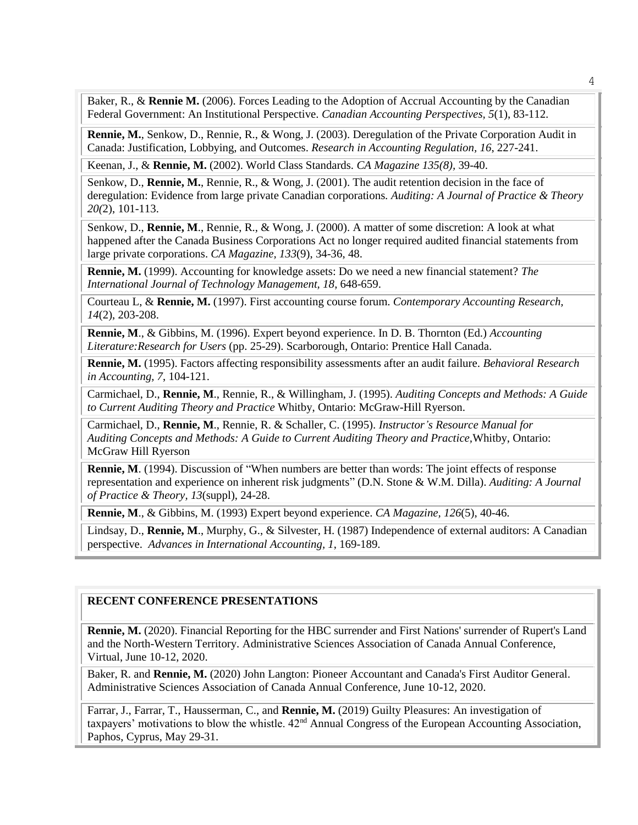Baker, R., & **Rennie M.** (2006). Forces Leading to the Adoption of Accrual Accounting by the Canadian Federal Government: An Institutional Perspective. *Canadian Accounting Perspectives, 5*(1), 83-112.

**Rennie, M.**, Senkow, D., Rennie, R., & Wong, J. (2003). Deregulation of the Private Corporation Audit in Canada: Justification, Lobbying, and Outcomes. *Research in Accounting Regulation, 16*, 227-241.

Keenan, J., & **Rennie, M.** (2002). World Class Standards. *CA Magazine 135(8),* 39-40.

Senkow, D., **Rennie, M.**, Rennie, R., & Wong, J. (2001). The audit retention decision in the face of deregulation: Evidence from large private Canadian corporations. *Auditing: A Journal of Practice & Theory 20(*2), 101-113.

Senkow, D., **Rennie, M**., Rennie, R., & Wong, J. (2000). A matter of some discretion: A look at what happened after the Canada Business Corporations Act no longer required audited financial statements from large private corporations. *CA Magazine, 133*(9), 34-36, 48.

**Rennie, M.** (1999). Accounting for knowledge assets: Do we need a new financial statement? *The International Journal of Technology Management, 18*, 648-659.

Courteau L, & **Rennie, M.** (1997). First accounting course forum. *Contemporary Accounting Research, 14*(2), 203-208.

**Rennie, M**., & Gibbins, M. (1996). Expert beyond experience. In D. B. Thornton (Ed.) *Accounting Literature:Research for Users* (pp. 25-29). Scarborough, Ontario: Prentice Hall Canada.

**Rennie, M.** (1995). Factors affecting responsibility assessments after an audit failure. *Behavioral Research in Accounting, 7*, 104-121.

Carmichael, D., **Rennie, M**., Rennie, R., & Willingham, J. (1995). *Auditing Concepts and Methods: A Guide to Current Auditing Theory and Practice* Whitby, Ontario: McGraw-Hill Ryerson.

Carmichael, D., **Rennie, M**., Rennie, R. & Schaller, C. (1995). *Instructor's Resource Manual for Auditing Concepts and Methods: A Guide to Current Auditing Theory and Practice,*Whitby, Ontario: McGraw Hill Ryerson

**Rennie, M**. (1994). Discussion of "When numbers are better than words: The joint effects of response representation and experience on inherent risk judgments" (D.N. Stone & W.M. Dilla). *Auditing: A Journal of Practice & Theory, 13*(suppl), 24-28.

**Rennie, M**., & Gibbins, M. (1993) Expert beyond experience. *CA Magazine, 126*(5), 40-46.

Lindsay, D., **Rennie, M**., Murphy, G., & Silvester, H. (1987) Independence of external auditors: A Canadian perspective. *Advances in International Accounting, 1*, 169-189.

## **RECENT CONFERENCE PRESENTATIONS**

**Rennie, M.** (2020). Financial Reporting for the HBC surrender and First Nations' surrender of Rupert's Land and the North-Western Territory. Administrative Sciences Association of Canada Annual Conference, Virtual, June 10-12, 2020.

Baker, R. and **Rennie, M.** (2020) John Langton: Pioneer Accountant and Canada's First Auditor General. Administrative Sciences Association of Canada Annual Conference, June 10-12, 2020.

Farrar, J., Farrar, T., Hausserman, C., and **Rennie, M.** (2019) Guilty Pleasures: An investigation of taxpayers' motivations to blow the whistle.  $42<sup>nd</sup>$  Annual Congress of the European Accounting Association, Paphos, Cyprus, May 29-31.